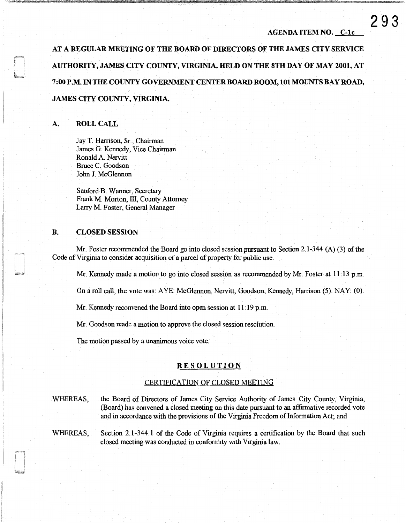AT A REGULAR MEETING OF THE BOARD OF DIRECTORS OF THE JAMES CITY SERVICE AUTHORITY, JAMES CITY COUNTY, VIRGINIA, HELD ON THE STH DAY OF MAY 2001, AT 7:00 P.M. IN THE COUNTY GOVERNMENT CENTERBOARD ROOM, 101 MOUNTS BAY ROAD, JAMES CITY COUNTY, VIRGINIA.

## A. ROLL CALL

Jay T. Harrison, Sr., Chairman James G. Kennedy, Vice Chairman Ronald A. Nervitt Bruce C. Goodson John J. McGlennon

Sanford B. Wanner, Secretary Frank M. Morton, III, County Attorney Larry M. Foster, General Manager

## B. CLOSED SESSION

Mr. Foster recommended the Board go into closed session pursuant to Section 2.1-344 (A) (3) of the Code of Virginia to consider acquisition of a parcel of property for public use.

Mr. Kennedy made a motion to go into closed session as recommended by Mr. Foster at 11:13 p.m.

On a roll call, the vote was: A YE: McGlennon, Nervitt, Goodson, Kennedy, Harrison (5). NAY: (0).

Mr. Kennedy reconvened the Board into open session at 11: 19 p.m.

Mr. Goodson made a motion to approve the closed session resolution.

The motion passed by a unanimous voice vote.

## RESOLUTION

## CERTIFICATION OF CLOSED MEETING

WHEREAS, the Board of Directors of James City Service Authority of James City County, Virginia, (Board) has convened a closed meeting on this date pursuant to an affirmative recorded vote and in accordance with the provisions of the Virginia Freedom of Information Act; and

WHEREAS, Section 2.1-344.1 of the Code of Virginia requires a certification by the Board that such closed meeting was conducted in conformity with Virginia law.